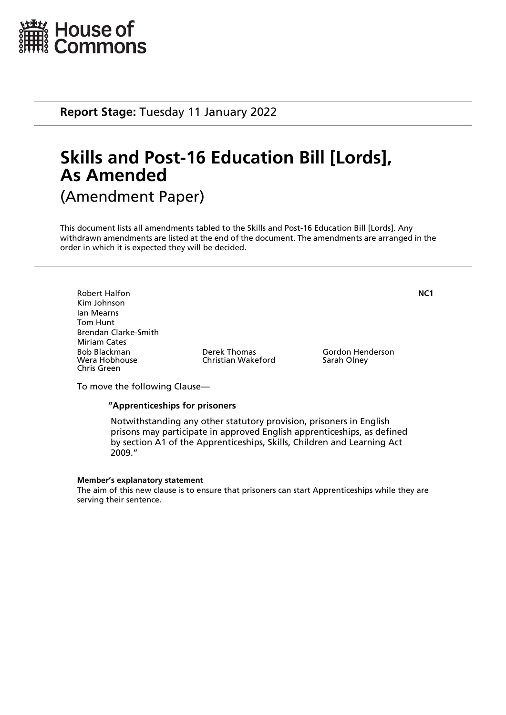

**Report Stage:** Tuesday 11 January 2022

# **Skills and Post-16 Education Bill [Lords], As Amended** (Amendment Paper)

This document lists all amendments tabled to the Skills and Post-16 Education Bill [Lords]. Any withdrawn amendments are listed at the end of the document. The amendments are arranged in the order in which it is expected they will be decided.

Robert Halfon **NC1** Kim Johnson Ian Mearns Tom Hunt Brendan Clarke-Smith Miriam Cates Bob Blackman Derek Thomas Gordon Henderson Chris Green

Christian Wakeford

To move the following Clause—

## **"Apprenticeships for prisoners**

 Notwithstanding any other statutory provision, prisoners in English prisons may participate in approved English apprenticeships, as defined by section A1 of the Apprenticeships, Skills, Children and Learning Act 2009."

### **Member's explanatory statement**

The aim of this new clause is to ensure that prisoners can start Apprenticeships while they are serving their sentence.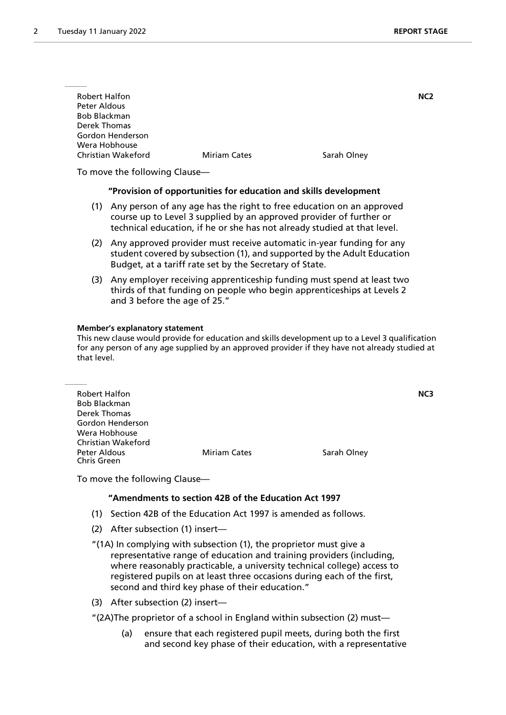| <b>Robert Halfon</b>          |                     |             | NC <sub>2</sub> |
|-------------------------------|---------------------|-------------|-----------------|
| Peter Aldous                  |                     |             |                 |
| <b>Bob Blackman</b>           |                     |             |                 |
| Derek Thomas                  |                     |             |                 |
| Gordon Henderson              |                     |             |                 |
| Wera Hobhouse                 |                     |             |                 |
| Christian Wakeford            | <b>Miriam Cates</b> | Sarah Olney |                 |
|                               |                     |             |                 |
| To move the following Clause- |                     |             |                 |

### **"Provision of opportunities for education and skills development**

- (1) Any person of any age has the right to free education on an approved course up to Level 3 supplied by an approved provider of further or technical education, if he or she has not already studied at that level.
- (2) Any approved provider must receive automatic in-year funding for any student covered by subsection (1), and supported by the Adult Education Budget, at a tariff rate set by the Secretary of State.
- (3) Any employer receiving apprenticeship funding must spend at least two thirds of that funding on people who begin apprenticeships at Levels 2 and 3 before the age of 25."

### **Member's explanatory statement**

This new clause would provide for education and skills development up to a Level 3 qualification for any person of any age supplied by an approved provider if they have not already studied at that level.

| <b>Robert Halfon</b>        |                     | NC3         |
|-----------------------------|---------------------|-------------|
| Bob Blackman                |                     |             |
| Derek Thomas                |                     |             |
| Gordon Henderson            |                     |             |
| Wera Hobhouse               |                     |             |
| Christian Wakeford          |                     |             |
| Peter Aldous<br>Chris Green | <b>Miriam Cates</b> | Sarah Olney |

To move the following Clause—

## **"Amendments to section 42B of the Education Act 1997**

- (1) Section 42B of the Education Act 1997 is amended as follows.
- (2) After subsection (1) insert—
- "(1A) In complying with subsection (1), the proprietor must give a representative range of education and training providers (including, where reasonably practicable, a university technical college) access to registered pupils on at least three occasions during each of the first, second and third key phase of their education."
- (3) After subsection (2) insert—

"(2A)The proprietor of a school in England within subsection (2) must—

(a) ensure that each registered pupil meets, during both the first and second key phase of their education, with a representative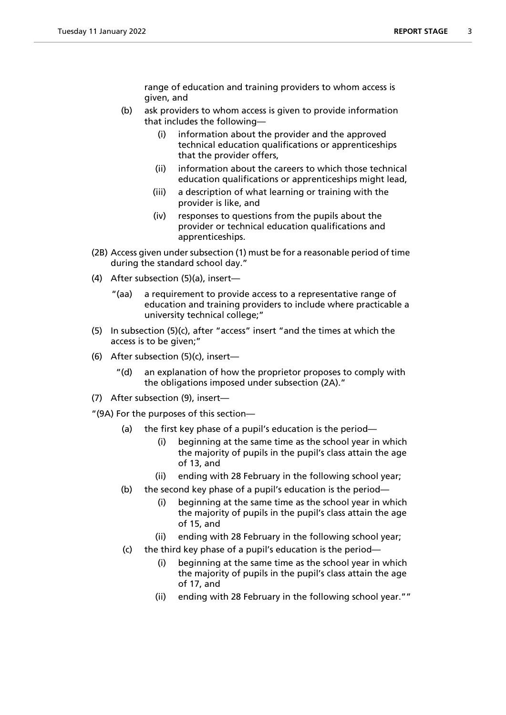range of education and training providers to whom access is given, and

- (b) ask providers to whom access is given to provide information that includes the following—
	- (i) information about the provider and the approved technical education qualifications or apprenticeships that the provider offers,
	- (ii) information about the careers to which those technical education qualifications or apprenticeships might lead,
	- (iii) a description of what learning or training with the provider is like, and
	- (iv) responses to questions from the pupils about the provider or technical education qualifications and apprenticeships.
- (2B) Access given under subsection (1) must be for a reasonable period of time during the standard school day."
- (4) After subsection (5)(a), insert—
	- "(aa) a requirement to provide access to a representative range of education and training providers to include where practicable a university technical college;"
- (5) In subsection (5)(c), after "access" insert "and the times at which the access is to be given;"
- (6) After subsection (5)(c), insert—
	- "(d) an explanation of how the proprietor proposes to comply with the obligations imposed under subsection (2A)."
- (7) After subsection (9), insert—

"(9A) For the purposes of this section—

- (a) the first key phase of a pupil's education is the period—
	- (i) beginning at the same time as the school year in which the majority of pupils in the pupil's class attain the age of 13, and
	- (ii) ending with 28 February in the following school year;
- (b) the second key phase of a pupil's education is the period—
	- (i) beginning at the same time as the school year in which the majority of pupils in the pupil's class attain the age of 15, and
	- (ii) ending with 28 February in the following school year;
- (c) the third key phase of a pupil's education is the period—
	- (i) beginning at the same time as the school year in which the majority of pupils in the pupil's class attain the age of 17, and
	- (ii) ending with 28 February in the following school year.""